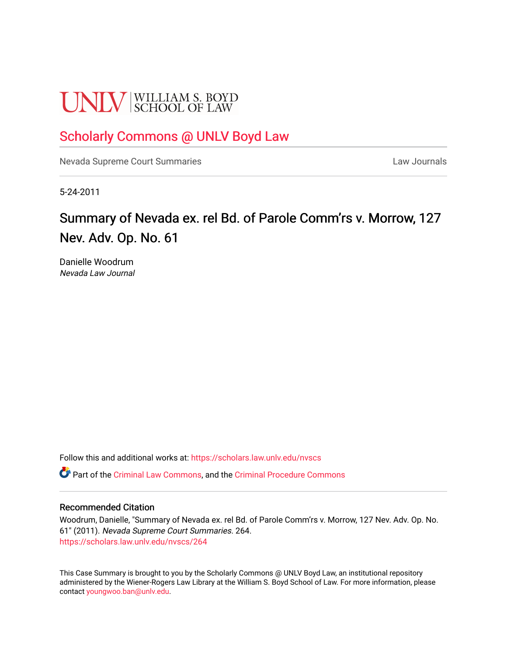# **UNLV** SCHOOL OF LAW

# [Scholarly Commons @ UNLV Boyd Law](https://scholars.law.unlv.edu/)

[Nevada Supreme Court Summaries](https://scholars.law.unlv.edu/nvscs) **Law Journals** Law Journals

5-24-2011

# Summary of Nevada ex. rel Bd. of Parole Comm'rs v. Morrow, 127 Nev. Adv. Op. No. 61

Danielle Woodrum Nevada Law Journal

Follow this and additional works at: [https://scholars.law.unlv.edu/nvscs](https://scholars.law.unlv.edu/nvscs?utm_source=scholars.law.unlv.edu%2Fnvscs%2F264&utm_medium=PDF&utm_campaign=PDFCoverPages)

Part of the [Criminal Law Commons,](http://network.bepress.com/hgg/discipline/912?utm_source=scholars.law.unlv.edu%2Fnvscs%2F264&utm_medium=PDF&utm_campaign=PDFCoverPages) and the [Criminal Procedure Commons](http://network.bepress.com/hgg/discipline/1073?utm_source=scholars.law.unlv.edu%2Fnvscs%2F264&utm_medium=PDF&utm_campaign=PDFCoverPages)

#### Recommended Citation

Woodrum, Danielle, "Summary of Nevada ex. rel Bd. of Parole Comm'rs v. Morrow, 127 Nev. Adv. Op. No. 61" (2011). Nevada Supreme Court Summaries. 264. [https://scholars.law.unlv.edu/nvscs/264](https://scholars.law.unlv.edu/nvscs/264?utm_source=scholars.law.unlv.edu%2Fnvscs%2F264&utm_medium=PDF&utm_campaign=PDFCoverPages)

This Case Summary is brought to you by the Scholarly Commons @ UNLV Boyd Law, an institutional repository administered by the Wiener-Rogers Law Library at the William S. Boyd School of Law. For more information, please contact [youngwoo.ban@unlv.edu](mailto:youngwoo.ban@unlv.edu).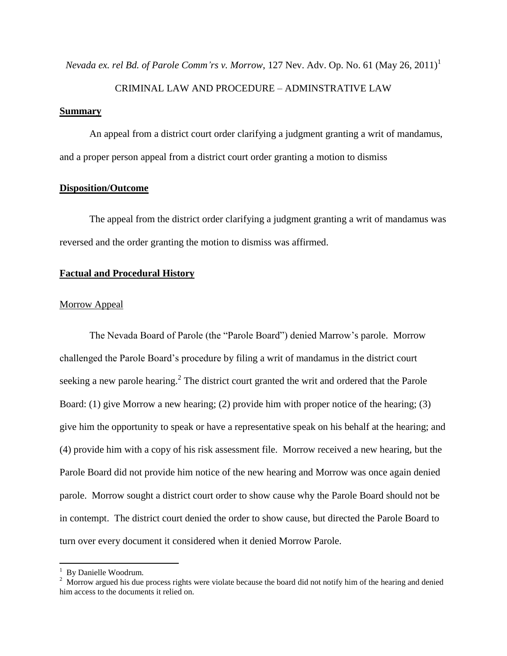*Nevada ex. rel Bd. of Parole Comm'rs v. Morrow*, 127 Nev. Adv. Op. No. 61 (May 26, 2011) 1

#### CRIMINAL LAW AND PROCEDURE – ADMINSTRATIVE LAW

#### **Summary**

An appeal from a district court order clarifying a judgment granting a writ of mandamus, and a proper person appeal from a district court order granting a motion to dismiss

#### **Disposition/Outcome**

The appeal from the district order clarifying a judgment granting a writ of mandamus was reversed and the order granting the motion to dismiss was affirmed.

## **Factual and Procedural History**

#### Morrow Appeal

The Nevada Board of Parole (the "Parole Board") denied Marrow"s parole. Morrow challenged the Parole Board"s procedure by filing a writ of mandamus in the district court seeking a new parole hearing.<sup>2</sup> The district court granted the writ and ordered that the Parole Board: (1) give Morrow a new hearing; (2) provide him with proper notice of the hearing; (3) give him the opportunity to speak or have a representative speak on his behalf at the hearing; and (4) provide him with a copy of his risk assessment file. Morrow received a new hearing, but the Parole Board did not provide him notice of the new hearing and Morrow was once again denied parole. Morrow sought a district court order to show cause why the Parole Board should not be in contempt. The district court denied the order to show cause, but directed the Parole Board to turn over every document it considered when it denied Morrow Parole.

 $\overline{\phantom{a}}$ 

<sup>&</sup>lt;sup>1</sup> By Danielle Woodrum.

<sup>&</sup>lt;sup>2</sup> Morrow argued his due process rights were violate because the board did not notify him of the hearing and denied him access to the documents it relied on.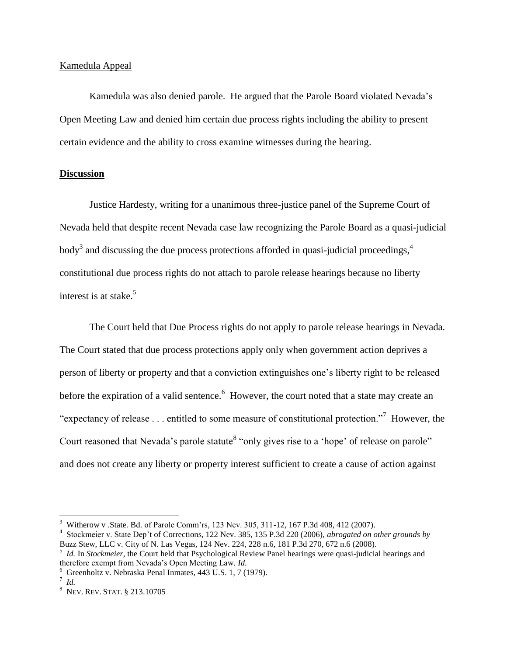#### Kamedula Appeal

Kamedula was also denied parole. He argued that the Parole Board violated Nevada"s Open Meeting Law and denied him certain due process rights including the ability to present certain evidence and the ability to cross examine witnesses during the hearing.

### **Discussion**

Justice Hardesty, writing for a unanimous three-justice panel of the Supreme Court of Nevada held that despite recent Nevada case law recognizing the Parole Board as a quasi-judicial body<sup>3</sup> and discussing the due process protections afforded in quasi-judicial proceedings,<sup>4</sup> constitutional due process rights do not attach to parole release hearings because no liberty interest is at stake.<sup>5</sup>

The Court held that Due Process rights do not apply to parole release hearings in Nevada. The Court stated that due process protections apply only when government action deprives a person of liberty or property and that a conviction extinguishes one"s liberty right to be released before the expiration of a valid sentence.<sup>6</sup> However, the court noted that a state may create an "expectancy of release  $\dots$  entitled to some measure of constitutional protection."<sup>7</sup> However, the Court reasoned that Nevada's parole statute<sup>8</sup> "only gives rise to a 'hope' of release on parole" and does not create any liberty or property interest sufficient to create a cause of action against

 $\overline{a}$ 

<sup>&</sup>lt;sup>3</sup> Witherow v .State. Bd. of Parole Comm'rs, 123 Nev. 305, 311-12, 167 P.3d 408, 412 (2007).

<sup>4</sup> Stockmeier v. State Dep"t of Corrections, 122 Nev. 385, 135 P.3d 220 (2006), *abrogated on other grounds by* Buzz Stew, LLC v. City of N. Las Vegas, 124 Nev. 224, 228 n.6, 181 P.3d 270, 672 n.6 (2008).

<sup>5</sup> *Id.* In *Stockmeier*, the Court held that Psychological Review Panel hearings were quasi-judicial hearings and therefore exempt from Nevada"s Open Meeting Law. *Id.*

 $6$  Greenholtz v. Nebraska Penal Inmates, 443 U.S. 1, 7 (1979).

<sup>7</sup> *Id.*

<sup>8</sup> NEV. REV. STAT. § 213.10705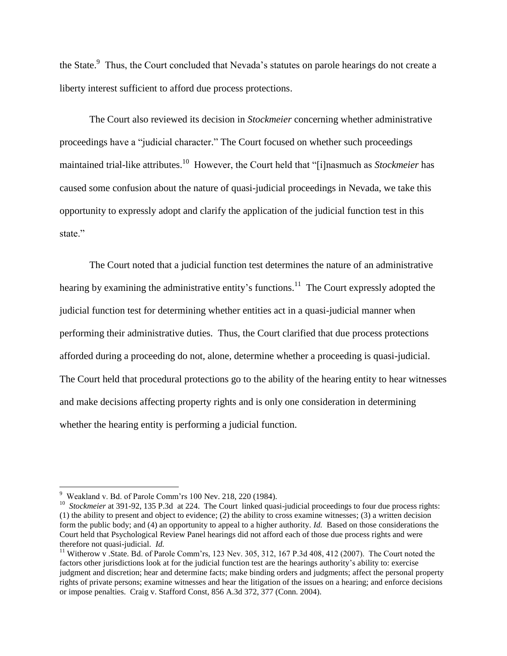the State.<sup>9</sup> Thus, the Court concluded that Nevada's statutes on parole hearings do not create a liberty interest sufficient to afford due process protections.

The Court also reviewed its decision in *Stockmeier* concerning whether administrative proceedings have a "judicial character." The Court focused on whether such proceedings maintained trial-like attributes.<sup>10</sup> However, the Court held that "[i]nasmuch as *Stockmeier* has caused some confusion about the nature of quasi-judicial proceedings in Nevada, we take this opportunity to expressly adopt and clarify the application of the judicial function test in this state."

The Court noted that a judicial function test determines the nature of an administrative hearing by examining the administrative entity's functions.<sup>11</sup> The Court expressly adopted the judicial function test for determining whether entities act in a quasi-judicial manner when performing their administrative duties. Thus, the Court clarified that due process protections afforded during a proceeding do not, alone, determine whether a proceeding is quasi-judicial. The Court held that procedural protections go to the ability of the hearing entity to hear witnesses and make decisions affecting property rights and is only one consideration in determining whether the hearing entity is performing a judicial function.

 $\overline{\phantom{a}}$ 

 $9$  Weakland v. Bd. of Parole Comm'rs 100 Nev. 218, 220 (1984).

<sup>&</sup>lt;sup>10</sup> *Stockmeier* at 391-92, 135 P.3d at 224. The Court linked quasi-judicial proceedings to four due process rights: (1) the ability to present and object to evidence; (2) the ability to cross examine witnesses; (3) a written decision form the public body; and (4) an opportunity to appeal to a higher authority*. Id.* Based on those considerations the Court held that Psychological Review Panel hearings did not afford each of those due process rights and were therefore not quasi-judicial. *Id.* 

<sup>&</sup>lt;sup>11</sup> Witherow v .State. Bd. of Parole Comm'rs, 123 Nev. 305, 312, 167 P.3d 408, 412 (2007). The Court noted the factors other jurisdictions look at for the judicial function test are the hearings authority"s ability to: exercise judgment and discretion; hear and determine facts; make binding orders and judgments; affect the personal property rights of private persons; examine witnesses and hear the litigation of the issues on a hearing; and enforce decisions or impose penalties. Craig v. Stafford Const, 856 A.3d 372, 377 (Conn. 2004).